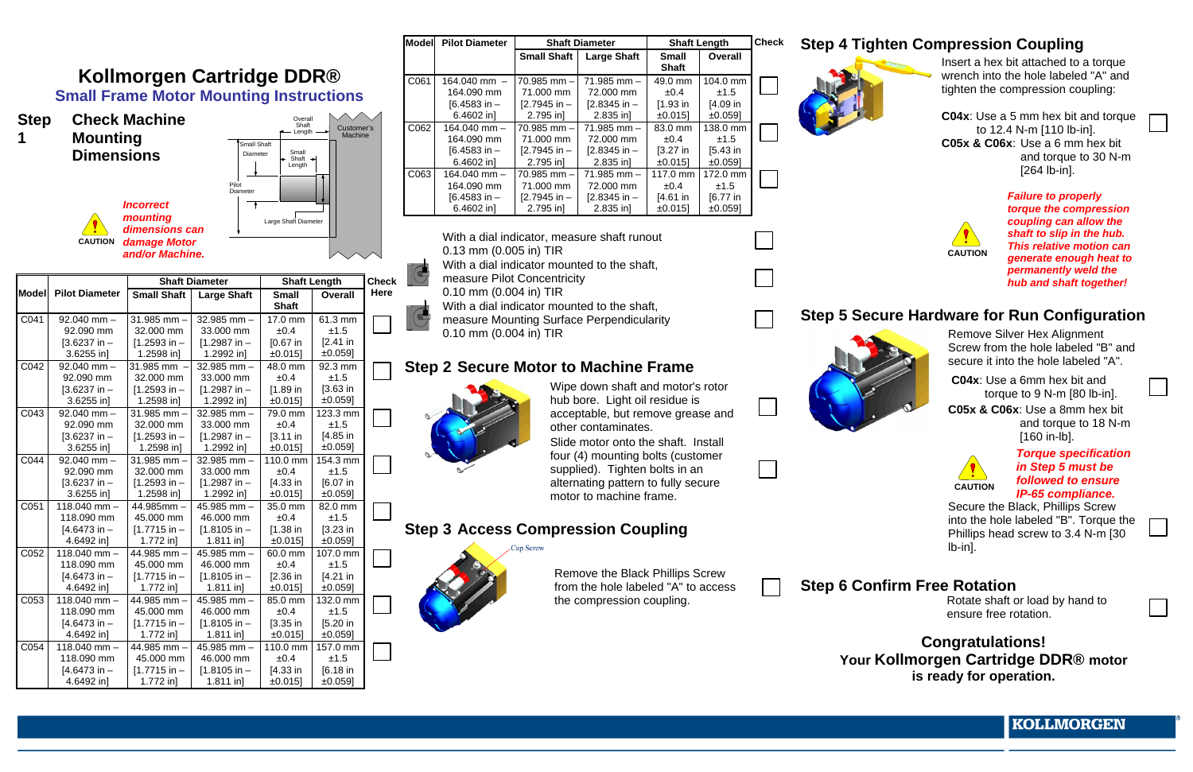|                  |                                 |                                 | <b>Model</b>                                   | <b>Pilot Diameter</b><br><b>Shaft Diameter</b> |                        |                      | <b>Shaft Length</b>                         |                             | <b>Check</b>                        | <b>Step 4 Tig</b>            |                     |  |                  |
|------------------|---------------------------------|---------------------------------|------------------------------------------------|------------------------------------------------|------------------------|----------------------|---------------------------------------------|-----------------------------|-------------------------------------|------------------------------|---------------------|--|------------------|
|                  |                                 |                                 |                                                |                                                |                        |                      |                                             | <b>Small Shaft</b>          | <b>Large Shaft</b>                  | <b>Small</b><br><b>Shaft</b> | <b>Overall</b>      |  |                  |
|                  |                                 |                                 | <b>Kollmorgen Cartridge DDR®</b>               |                                                |                        | C061                 | 164.040 mm -                                | $70.985$ mm $-$             | $71.985$ mm $-$                     | 49.0 mm                      | 104.0 mm            |  |                  |
|                  |                                 |                                 | <b>Small Frame Motor Mounting Instructions</b> |                                                |                        |                      | 164.090 mm                                  | 71.000 mm                   | 72.000 mm                           | ±0.4                         | ±1.5                |  |                  |
|                  |                                 |                                 |                                                |                                                |                        |                      | $[6.4583 in -$                              | $[2.7945 in -$              | $[2.8345$ in -                      | $[1.93]$ in                  | $[4.09]$ in         |  |                  |
| <b>Step</b>      | <b>Check Machine</b><br>Overall |                                 |                                                |                                                |                        | 6.4602 in]           | 2.795 in]                                   | $2.835$ in]                 | ±0.015]                             | ±0.059]                      |                     |  |                  |
|                  |                                 |                                 |                                                | Shaft<br>← Length                              | Customer's<br>Machine  | C062                 | 164.040 mm -                                | 70.985 mm -                 | $71.985$ mm $-$                     | 83.0 mm                      | 138.0 mm            |  |                  |
| 1                | <b>Mounting</b>                 |                                 | Small Shaft                                    |                                                |                        |                      | 164.090 mm<br>$[6.4583 in -$                | 71.000 mm<br>$[2.7945 in -$ | 72.000 mm<br>$[2.8345 in -$         | ±0.4<br>$[3.27]$ in          | ±1.5<br>$[5.43]$ in |  |                  |
|                  | <b>Dimensions</b>               |                                 | Diameter                                       | Small<br>Shaft $\rightarrow$                   |                        |                      | 6.4602 in]                                  | 2.795 in]                   | $2.835$ in]                         | ±0.015]                      | ±0.059]             |  |                  |
|                  |                                 |                                 |                                                | Length                                         |                        | C063                 | 164.040 mm -                                | 70.985 mm -                 | $71.985$ mm $-$                     | 117.0 mm                     | 172.0 mm            |  |                  |
|                  |                                 |                                 | Pilot                                          |                                                |                        |                      | 164.090 mm                                  | 71.000 mm                   | 72.000 mm                           | ±0.4                         | ±1.5                |  |                  |
|                  |                                 |                                 | Diameter                                       |                                                |                        |                      | $[6.4583 in -$                              | $[2.7945 in -$              | $[2.8345 in -$                      | $[4.61]$ in                  | $[6.77]$ in         |  |                  |
|                  |                                 | <b>Incorrect</b>                |                                                |                                                |                        |                      | 6.4602 in]                                  | 2.795 in]                   | 2.835 in]                           | $±0.015$ ]                   | ±0.059]             |  |                  |
|                  |                                 | mounting                        |                                                | Large Shaft Diameter                           |                        |                      |                                             |                             |                                     |                              |                     |  |                  |
|                  | <b>CAUTION</b>                  | dimensions can<br>damage Motor  |                                                |                                                |                        |                      | With a dial indicator, measure shaft runout |                             |                                     |                              |                     |  |                  |
|                  |                                 | and/or Machine.                 |                                                |                                                |                        |                      |                                             | 0.13 mm (0.005 in) TIR      |                                     |                              |                     |  |                  |
|                  |                                 |                                 |                                                |                                                |                        |                      | With a dial indicator mounted to the shaft, |                             |                                     |                              |                     |  |                  |
|                  |                                 |                                 |                                                |                                                |                        | $\bigodot$           | measure Pilot Concentricity                 |                             |                                     |                              |                     |  |                  |
| Model            | <b>Pilot Diameter</b>           |                                 | <b>Shaft Diameter</b>                          |                                                | <b>Shaft Length</b>    | <b>Check</b><br>Here | 0.10 mm (0.004 in) TIR                      |                             |                                     |                              |                     |  |                  |
|                  |                                 | <b>Small Shaft</b>              | <b>Large Shaft</b>                             | <b>Small</b><br><b>Shaft</b>                   | <b>Overall</b>         |                      | With a dial indicator mounted to the shaft, |                             |                                     |                              |                     |  |                  |
| C041             | $92.040$ mm $-$                 | 31.985 mm -                     | 32.985 mm $-$                                  | 17.0 mm                                        | 61.3 mm                | $ \mathbf{G} $       | measure Mounting Surface Perpendicularity   |                             |                                     |                              |                     |  | Step 5 Se        |
|                  | 92.090 mm                       | 32.000 mm                       | 33.000 mm                                      | ±0.4                                           | ±1.5                   |                      |                                             |                             |                                     |                              |                     |  |                  |
|                  | $[3.6237 in -$                  | $[1.2593 in -$                  | $[1.2987$ in -                                 | $[0.67]$ in                                    | $[2.41]$ in            |                      | 0.10 mm (0.004 in) TIR                      |                             |                                     |                              |                     |  |                  |
|                  | 3.6255 in]                      | 1.2598 in]                      | 1.2992 in]                                     | ±0.015]                                        | ±0.059]                |                      |                                             |                             |                                     |                              |                     |  |                  |
| C042             | $92.040$ mm $-$                 | 31.985 mm                       | 32.985 mm $-$                                  | 48.0 mm                                        | 92.3 mm                |                      | <b>Step 2 Secure Motor to Machine Frame</b> |                             |                                     |                              |                     |  |                  |
|                  | 92.090 mm                       | 32.000 mm                       | 33.000 mm                                      | ±0.4                                           | ±1.5                   |                      |                                             |                             |                                     |                              |                     |  |                  |
|                  | $[3.6237 in -$                  | $[1.2593 in -$                  | $[1.2987$ in -                                 | $[1.89]$ in                                    | $[3.63]$ in            |                      |                                             |                             | Wipe down shaft and motor's rotor   |                              |                     |  |                  |
|                  | 3.6255 in]                      | 1.2598 in]                      | 1.2992 in]                                     | ±0.015]                                        | ±0.059]                |                      |                                             |                             | hub bore. Light oil residue is      |                              |                     |  |                  |
| C043             | $92.040$ mm $-$                 | 31.985 mm -                     | 32.985 mm $-$<br>33.000 mm                     | 79.0 mm                                        | 123.3 mm<br>±1.5       |                      |                                             |                             | acceptable, but remove grease and   |                              |                     |  |                  |
|                  | 92.090 mm<br>$[3.6237 in -$     | 32.000 mm<br>$[1.2593 in -$     | $[1.2987$ in -                                 | ±0.4<br>$[3.11 in$                             | $[4.85]$ in            |                      |                                             |                             | other contaminates.                 |                              |                     |  |                  |
|                  | 3.6255 in]                      | 1.2598 in]                      | 1.2992 in]                                     | ±0.015]                                        | ±0.059]                |                      |                                             |                             | Slide motor onto the shaft. Install |                              |                     |  |                  |
| C044             | $92.040$ mm $-$                 | 31.985 mm -                     | 32.985 mm $-$                                  | 110.0 mm                                       | 154.3 mm               |                      |                                             |                             | four (4) mounting bolts (customer   |                              |                     |  |                  |
|                  | 92.090 mm                       | 32.000 mm                       | 33.000 mm                                      | ±0.4                                           | ±1.5                   |                      |                                             |                             | supplied). Tighten bolts in an      |                              |                     |  |                  |
|                  | $[3.6237 in -$                  | $[1.2593 in -$                  | $[1.2987$ in -                                 | $[4.33]$ in                                    | $[6.07]$ in            |                      |                                             |                             | alternating pattern to fully secure |                              |                     |  |                  |
|                  | 3.6255 in]                      | 1.2598 in]                      | 1.2992 in]                                     | ±0.015]                                        | ±0.059]                |                      |                                             |                             | motor to machine frame.             |                              |                     |  |                  |
| C051             | 118.040 mm -                    | 44.985mm-                       | 45.985 mm -                                    | 35.0 mm                                        | 82.0 mm                |                      |                                             |                             |                                     |                              |                     |  |                  |
|                  | 118.090 mm                      | 45.000 mm                       | 46.000 mm                                      | ±0.4                                           | ±1.5                   |                      |                                             |                             |                                     |                              |                     |  |                  |
|                  | $[4.6473 in -$<br>4.6492 in]    | $[1.7715$ in $-$<br>$1.772$ in] | $[1.8105$ in -<br>$1.811$ in]                  | $[1.38]$ in<br>±0.015]                         | $[3.23]$ in<br>±0.059] |                      | <b>Step 3 Access Compression Coupling</b>   |                             |                                     |                              |                     |  |                  |
| C052             | 118.040 mm $-$                  | 44.985 mm -                     | 45.985 mm -                                    | 60.0 mm                                        | 107.0 mm               |                      |                                             | Cap Screw                   |                                     |                              |                     |  |                  |
|                  | 118.090 mm                      | 45.000 mm                       | 46.000 mm                                      | ±0.4                                           | ±1.5                   |                      |                                             |                             |                                     |                              |                     |  |                  |
|                  | $[4.6473 in -$                  | $[1.7715$ in -                  | $[1.8105$ in -                                 | $[2.36]$ in                                    | $[4.21]$ in            |                      |                                             |                             | Remove the Black Phillips Screw     |                              |                     |  |                  |
|                  | 4.6492 in]                      | 1.772 in]                       | $1.811$ in]                                    | ±0.015]                                        | ±0.059]                |                      |                                             |                             | from the hole labeled "A" to access |                              |                     |  | <b>Step 6 Co</b> |
| C <sub>053</sub> | 118.040 mm -                    | 44.985 mm -                     | 45.985 mm $-$                                  | 85.0 mm                                        | 132.0 mm               |                      |                                             |                             | the compression coupling.           |                              |                     |  |                  |
|                  | 118.090 mm                      | 45.000 mm                       | 46.000 mm                                      | ±0.4                                           | ±1.5                   |                      |                                             |                             |                                     |                              |                     |  |                  |
|                  | $[4.6473 in -$                  | $[1.7715$ in -                  | $[1.8105$ in -                                 | $[3.35]$ in                                    | $[5.20]$ in            |                      |                                             |                             |                                     |                              |                     |  |                  |
|                  | 4.6492 in]                      | $1.772$ in]                     | $1.811$ in]                                    | ±0.015]                                        | ±0.059]                |                      |                                             |                             |                                     |                              |                     |  |                  |
| CO <sub>54</sub> | 118.040 mm -                    | 44.985 mm -                     | 45.985 mm -                                    | 110.0 mm                                       | 157.0 mm               |                      |                                             |                             |                                     |                              |                     |  |                  |
|                  | 118.090 mm<br>$[4.6473 in -$    | 45.000 mm<br>$[1.7715$ in $-$   | 46.000 mm<br>$[1.8105$ in -                    | ±0.4<br>$[4.33]$ in                            | ±1.5<br>$[6.18]$ in    |                      |                                             |                             |                                     |                              |                     |  | Your             |
|                  | 4.6492 in]                      | $1.772$ in]                     | $1.811$ in]                                    | ±0.015]                                        | ±0.059]                |                      |                                             |                             |                                     |                              |                     |  |                  |
|                  |                                 |                                 |                                                |                                                |                        |                      |                                             |                             |                                     |                              |                     |  |                  |

# **Step 2 Tighten Coupling**



Insert a hex bit attached to a torque wrench into the hole labeled "A" and tighten the compression coupling:

**C04x**: Use a 5 mm hex bit and torque to 12.4 N-m [110 lb-in]. **C05x & C06x**: Use a 6 mm hex bit and torque to 30 N-m [264 lb-in].



*Failure to properly torque the compression coupling can allow the shaft to slip in the hub. This relative motion can generate enough heat to permanently weld the hub and shaft together!*

## **Step 3 Secure Hardware for Run Configuration**



Remove Silver Hex Alignment Screw from the hole labeled "B" and secure it into the hole labeled "A".

**C04x**: Use a 6mm hex bit and torque to 9 N-m [80 lb-in].

**C05x & C06x**: Use a 8mm hex bit and torque to 18 N-m [160 in-lb].



*Torque specification in Step 5 must be followed to ensure IP-65 compliance.*

Secure the Black, Phillips Screw into the hole labeled "B". Torque the Phillips head screw to 3.4 N-m [30 lb-in].

## **Step 6 Rotation**

Rotate shaft or load by hand to ensure free rotation.

**Congratulations! Kollmorgen Cartridge DDR® motor is ready for operation.** 

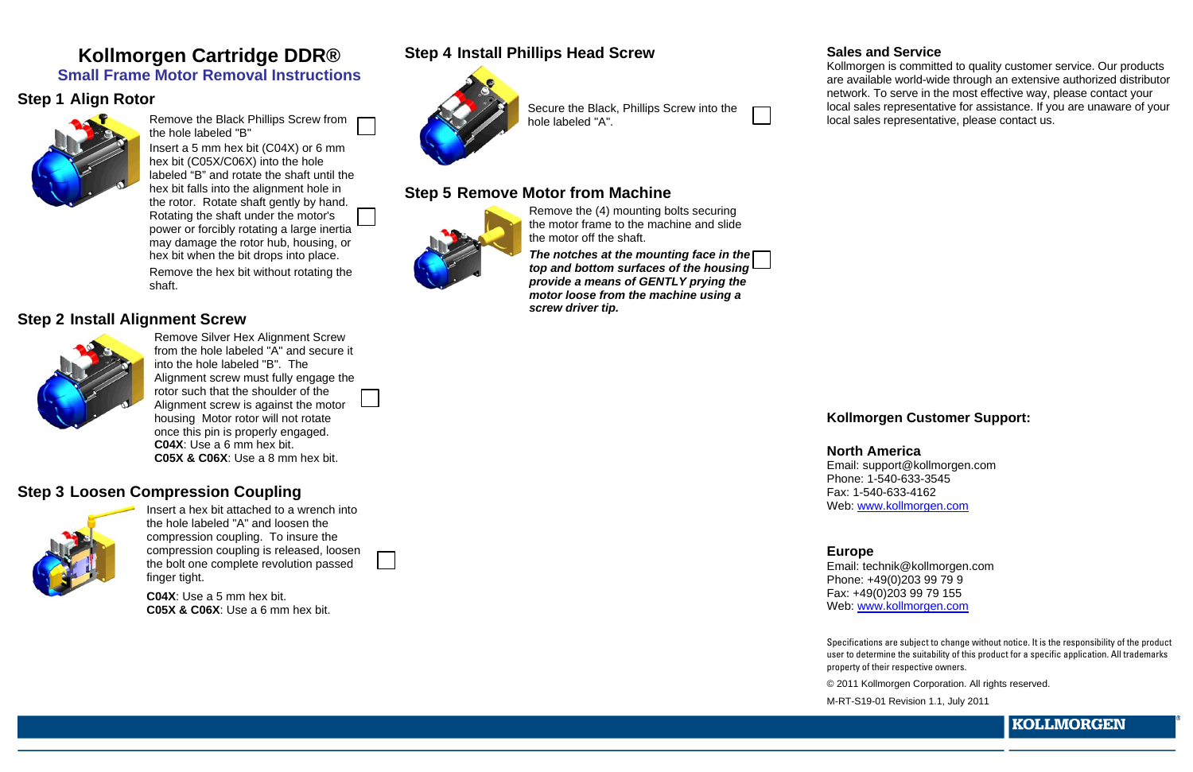# **Kollmorgen Cartridge DDR® Small Frame Motor Removal Instructions**

## **Step 1 Align Rotor**



Remove the Black Phillips Screw from the hole labeled "B"

Insert a 5 mm hex bit (C04X) or 6 mm hex bit (C05X/C06X) into the hole labeled "B" and rotate the shaft until the hex bit falls into the alignment hole in the rotor. Rotate shaft gently by hand. Rotating the shaft under the motor's power or forcibly rotating a large inertia may damage the rotor hub, housing, or hex bit when the bit drops into place. Remove the hex bit without rotating the shaft.

## **Step 2 Install Alignment Screw**



Remove Silver Hex Alignment Screw from the hole labeled "A" and secure it into the hole labeled "B". The Alignment screw must fully engage the rotor such that the shoulder of the Alignment screw is against the motor housing Motor rotor will not rotate once this pin is properly engaged. **C04X**: Use a 6 mm hex bit. **C05X & C06X**: Use a 8 mm hex bit.

## **Step 3 Loosen Compression Coupling**



Insert a hex bit attached to a wrench into the hole labeled "A" and loosen the compression coupling. To insure the compression coupling is released, loosen the bolt one complete revolution passed finger tight.

**C04X**: Use a 5 mm hex bit. **C05X & C06X**: Use a 6 mm hex bit.

# **Step 4 Install Phillips Head Screw**



Secure the Black, Phillips Screw into the hole labeled "A".

## **Step 5 Remove Motor from Machine**



Remove the (4) mounting bolts securing the motor frame to the machine and slide the motor off the shaft.

*The notches at the mounting face in the top and bottom surfaces of the housing provide a means of GENTLY prying the motor loose from the machine using a screw driver tip.*

### **Sales and Service**

Kollmorgen is committed to quality customer service. Our products are available world-wide through an extensive authorized distributor network. To serve in the most effective way, please contact your local sales representative for assistance. If you are unaware of your local sales representative, please contact us.

### **Kollmorgen Customer Support:**

**North America** Email: support@kollmorgen.com Phone: 1-540-633-3545 Fax: 1-540-633-4162 Web: [www.kollmorgen.com](http://www.kollmorgen.com/)

### **Europe**

Email: technik@kollmorgen.com Phone: +49(0)203 99 79 9 Fax: +49(0)203 99 79 155 Web: [www.kollmorgen.com](http://www.kollmorgen.com/)

Specifications are subject to change without notice. It is the responsibility of the product user to determine the suitability of this product for a specific application. All trademarks property of their respective owners.

© 2011 Kollmorgen Corporation. All rights reserved.

M-RT-S19-01 Revision 1.1, July 2011

**KOLLMORGEN**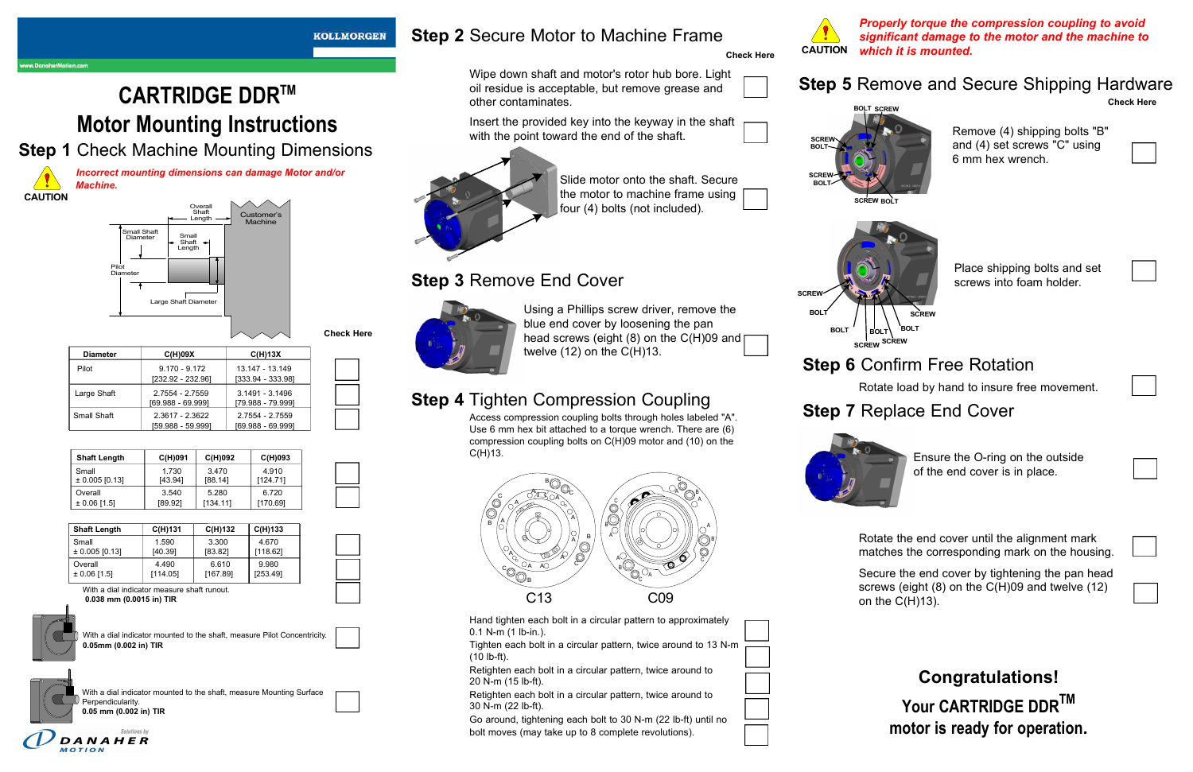**CARTRIDGE DDRTM Motor Mounting Instructions**

**Step 1** Check Machine Mounting Dimensions

*Incorrect mounting dimensions can damage Motor and/or Machine.*

| <b>Check Here</b> |  |
|-------------------|--|
|-------------------|--|

| <b>Diameter</b> | C(H)09X           | C(H)13X             |
|-----------------|-------------------|---------------------|
| Pilot           | $9.170 - 9.172$   | 13.147 - 13.149     |
|                 | [232.92 - 232.96] | $[333.94 - 333.98]$ |
| Large Shaft     | 2.7554 - 2.7559   | 3.1491 - 3.1496     |
|                 | 69.988 - 69.9991  | [79.988 - 79.999]   |
| Small Shaft     | 2.3617 - 2.3622   | 2.7554 - 2.7559     |
|                 | [59.988 - 59.999] | $[69.988 - 69.999]$ |

| <b>Shaft Length</b> | C(H)091 | C(H)092  | C(H)093  |
|---------------------|---------|----------|----------|
| Small               | 1.730   | 3.470    | 4.910    |
| $± 0.005$ [0.13]    | [43.94] | [88.14]  | [124.71] |
| Overall             | 3.540   | 5.280    | 6.720    |
| $\pm 0.06$ [1.5]    | [89.92] | [134.11] | [170.69] |

| <b>Shaft Length</b> | $C(H)$ 131 | C(H)132  | $C(H)$ 133 |
|---------------------|------------|----------|------------|
| Small               | 1.590      | 3.300    | 4.670      |
| $\pm$ 0.005 [0.13]  | [40.39]    | [83.82]  | [118.62]   |
| Overall             | 4.490      | 6.610    | 9.980      |
| $\pm 0.06$ [1.5]    | [114.05]   | [167.89] | [253.49]   |

With a dial indicator measure shaft runout. **0.038 mm (0.0015 in) TIR**



Access compression coupling bolts through holes labeled "A". Use 6 mm hex bit attached to a torque wrench. There are (6) compression coupling bolts on C(H)09 motor and (10) on the  $C(H)$ 13.

With a dial indicator mounted to the shaft, measure Pilot Concentricity. **0.05mm (0.002 in) TIR** 

With a dial indicator mounted to the shaft, measure Mounting Surface Perpendicularity. **0.05 mm (0.002 in) TIR** 



**KOLLMORGEN** 

# **Step 2** Secure Motor to Machine Frame

**Check Here**

Wipe down shaft and motor's rotor hub bore. Light oil residue is acceptable, but remove grease and

other contaminates.



Insert the provided key into the keyway in the shaft



Slide motor onto the shaft. Secure the motor to machine frame using four (4) bolts (not included).

# **Step 3** Remove End Cover

Using a Phillips screw driver, remove the blue end cover by loosening the pan head screws (eight (8) on the C(H)09 and twelve (12) on the C(H)13.

# **Step 4** Tighten Compression Coupling

Hand tighten each bolt in a circular pattern to approximately 0.1 N-m (1 lb-in.).

Tighten each bolt in a circular pattern, twice around to 13 N-m (10 lb-ft).

Retighten each bolt in a circular pattern, twice around to 20 N-m (15 lb-ft).

Retighten each bolt in a circular pattern, twice around to 30 N-m (22 lb-ft).

Go around, tightening each bolt to 30 N-m (22 lb-ft) until no bolt moves (may take up to 8 complete revolutions).



# **Step 5** Remove and Secure Shipping Hardware

**Check Here**

Remove (4) shipping bolts "B" and (4) set screws "C" using 6 mm hex wrench.



Place shipping bolts and set screws into foam holder.

# **Step 6** Confirm Free Rotation

Rotate load by hand to insure free movement.

# **Step 7** Replace End Cover



Ensure the O-ring on the outside of the end cover is in place.

*Properly torque the compression coupling to avoid significant damage to the motor and the machine to which it is mounted.* **CAUTION**

Rotate the end cover until the alignment mark matches the corresponding mark on the housing.

Secure the end cover by tightening the pan head screws (eight (8) on the C(H)09 and twelve (12) on the C(H)13).

> **Congratulations! Your CARTRIDGE DDR TM motor is ready for operation.**





B



**BOLT BOL BOLT SCREW SCREW SCREW**